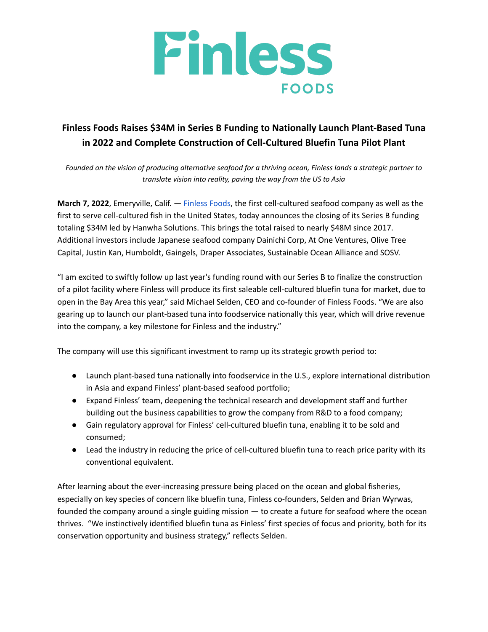

## **Finless Foods Raises \$34M in Series B Funding to Nationally Launch Plant-Based Tuna in 2022 and Complete Construction of Cell-Cultured Bluefin Tuna Pilot Plant**

Founded on the vision of producing alternative seafood for a thriving ocean, Finless lands a strategic partner to *translate vision into reality, paving the way from the US to Asia*

**March 7, 2022**, Emeryville, Calif. — [Finless](https://finlessfoods.com/) Foods, the first cell-cultured seafood company as well as the first to serve cell-cultured fish in the United States, today announces the closing of its Series B funding totaling \$34M led by Hanwha Solutions. This brings the total raised to nearly \$48M since 2017. Additional investors include Japanese seafood company Dainichi Corp, At One Ventures, Olive Tree Capital, Justin Kan, Humboldt, Gaingels, Draper Associates, Sustainable Ocean Alliance and SOSV.

"I am excited to swiftly follow up last year's funding round with our Series B to finalize the construction of a pilot facility where Finless will produce its first saleable cell-cultured bluefin tuna for market, due to open in the Bay Area this year," said Michael Selden, CEO and co-founder of Finless Foods. "We are also gearing up to launch our plant-based tuna into foodservice nationally this year, which will drive revenue into the company, a key milestone for Finless and the industry."

The company will use this significant investment to ramp up its strategic growth period to:

- Launch plant-based tuna nationally into foodservice in the U.S., explore international distribution in Asia and expand Finless' plant-based seafood portfolio;
- Expand Finless' team, deepening the technical research and development staff and further building out the business capabilities to grow the company from R&D to a food company;
- Gain regulatory approval for Finless' cell-cultured bluefin tuna, enabling it to be sold and consumed;
- Lead the industry in reducing the price of cell-cultured bluefin tuna to reach price parity with its conventional equivalent.

After learning about the ever-increasing pressure being placed on the ocean and global fisheries, especially on key species of concern like bluefin tuna, Finless co-founders, Selden and Brian Wyrwas, founded the company around a single guiding mission — to create a future for seafood where the ocean thrives. "We instinctively identified bluefin tuna as Finless' first species of focus and priority, both for its conservation opportunity and business strategy," reflects Selden.